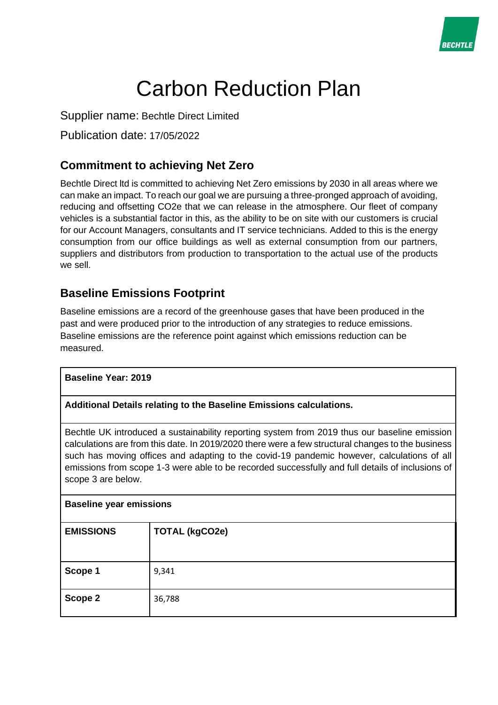

# Carbon Reduction Plan

Supplier name: Bechtle Direct Limited

Publication date: 17/05/2022

# **Commitment to achieving Net Zero**

Bechtle Direct ltd is committed to achieving Net Zero emissions by 2030 in all areas where we can make an impact. To reach our goal we are pursuing a three-pronged approach of avoiding, reducing and offsetting CO2e that we can release in the atmosphere. Our fleet of company vehicles is a substantial factor in this, as the ability to be on site with our customers is crucial for our Account Managers, consultants and IT service technicians. Added to this is the energy consumption from our office buildings as well as external consumption from our partners, suppliers and distributors from production to transportation to the actual use of the products we sell.

## **Baseline Emissions Footprint**

Baseline emissions are a record of the greenhouse gases that have been produced in the past and were produced prior to the introduction of any strategies to reduce emissions. Baseline emissions are the reference point against which emissions reduction can be measured.

| <b>Baseline Year: 2019</b>                                                                                                                                                                                                                                                                                                                                                                                                                                  |                       |  |
|-------------------------------------------------------------------------------------------------------------------------------------------------------------------------------------------------------------------------------------------------------------------------------------------------------------------------------------------------------------------------------------------------------------------------------------------------------------|-----------------------|--|
| Additional Details relating to the Baseline Emissions calculations.                                                                                                                                                                                                                                                                                                                                                                                         |                       |  |
| Bechtle UK introduced a sustainability reporting system from 2019 thus our baseline emission<br>calculations are from this date. In 2019/2020 there were a few structural changes to the business<br>such has moving offices and adapting to the covid-19 pandemic however, calculations of all<br>emissions from scope 1-3 were able to be recorded successfully and full details of inclusions of<br>scope 3 are below.<br><b>Baseline year emissions</b> |                       |  |
| <b>EMISSIONS</b>                                                                                                                                                                                                                                                                                                                                                                                                                                            | <b>TOTAL (kgCO2e)</b> |  |
| Scope 1                                                                                                                                                                                                                                                                                                                                                                                                                                                     | 9,341                 |  |
| Scope 2                                                                                                                                                                                                                                                                                                                                                                                                                                                     | 36,788                |  |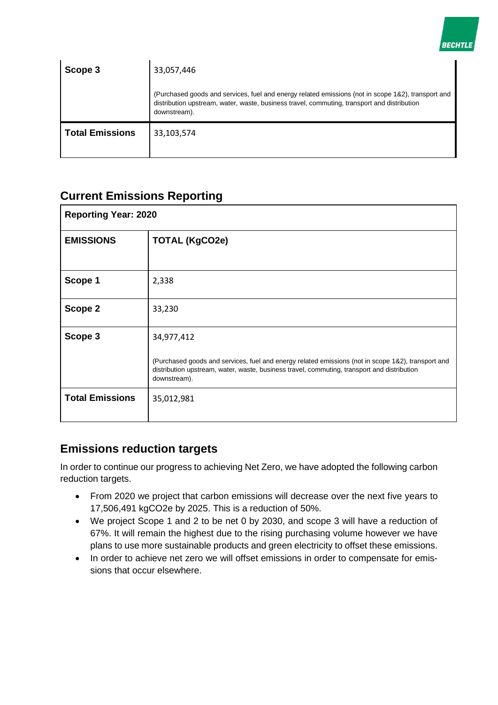

| Scope 3                | 33,057,446                                                                                                                                                                                                        |
|------------------------|-------------------------------------------------------------------------------------------------------------------------------------------------------------------------------------------------------------------|
|                        | (Purchased goods and services, fuel and energy related emissions (not in scope 1&2), transport and<br>distribution upstream, water, waste, business travel, commuting, transport and distribution<br>downstream). |
| <b>Total Emissions</b> | 33,103,574                                                                                                                                                                                                        |

## **Current Emissions Reporting**

| <b>Reporting Year: 2020</b> |                                                                                                                                                                                                                   |  |
|-----------------------------|-------------------------------------------------------------------------------------------------------------------------------------------------------------------------------------------------------------------|--|
| <b>EMISSIONS</b>            | <b>TOTAL (KgCO2e)</b>                                                                                                                                                                                             |  |
| Scope 1                     | 2,338                                                                                                                                                                                                             |  |
|                             |                                                                                                                                                                                                                   |  |
| Scope 2                     | 33,230                                                                                                                                                                                                            |  |
| Scope 3                     | 34,977,412                                                                                                                                                                                                        |  |
|                             | (Purchased goods and services, fuel and energy related emissions (not in scope 1&2), transport and<br>distribution upstream, water, waste, business travel, commuting, transport and distribution<br>downstream). |  |
| <b>Total Emissions</b>      | 35,012,981                                                                                                                                                                                                        |  |

## **Emissions reduction targets**

In order to continue our progress to achieving Net Zero, we have adopted the following carbon reduction targets.

- From 2020 we project that carbon emissions will decrease over the next five years to 17,506,491 kgCO2e by 2025. This is a reduction of 50%.
- We project Scope 1 and 2 to be net 0 by 2030, and scope 3 will have a reduction of 67%. It will remain the highest due to the rising purchasing volume however we have plans to use more sustainable products and green electricity to offset these emissions.
- In order to achieve net zero we will offset emissions in order to compensate for emissions that occur elsewhere.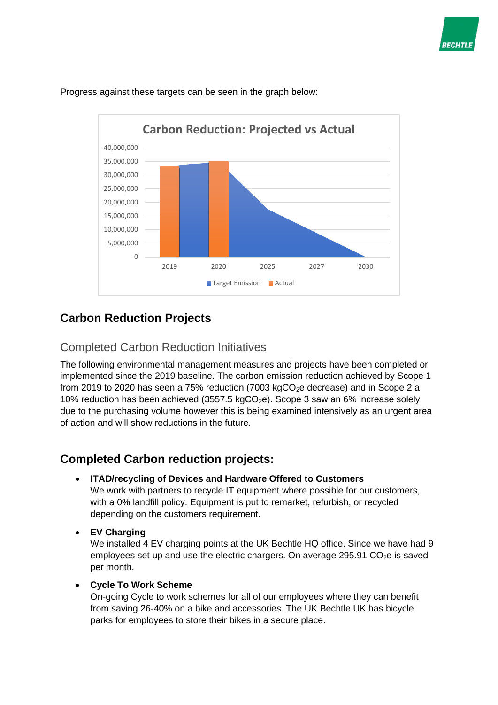



Progress against these targets can be seen in the graph below:

# **Carbon Reduction Projects**

## Completed Carbon Reduction Initiatives

The following environmental management measures and projects have been completed or implemented since the 2019 baseline. The carbon emission reduction achieved by Scope 1 from 2019 to 2020 has seen a 75% reduction (7003 kgCO<sub>2</sub>e decrease) and in Scope 2 a 10% reduction has been achieved (3557.5 kgCO<sub>2</sub>e). Scope 3 saw an 6% increase solely due to the purchasing volume however this is being examined intensively as an urgent area of action and will show reductions in the future.

# **Completed Carbon reduction projects:**

• **ITAD/recycling of Devices and Hardware Offered to Customers**

We work with partners to recycle IT equipment where possible for our customers, with a 0% landfill policy. Equipment is put to remarket, refurbish, or recycled depending on the customers requirement.

• **EV Charging** 

We installed 4 EV charging points at the UK Bechtle HQ office. Since we have had 9 employees set up and use the electric chargers. On average 295.91  $CO<sub>2</sub>e$  is saved per month.

• **Cycle To Work Scheme**

On-going Cycle to work schemes for all of our employees where they can benefit from saving 26-40% on a bike and accessories. The UK Bechtle UK has bicycle parks for employees to store their bikes in a secure place.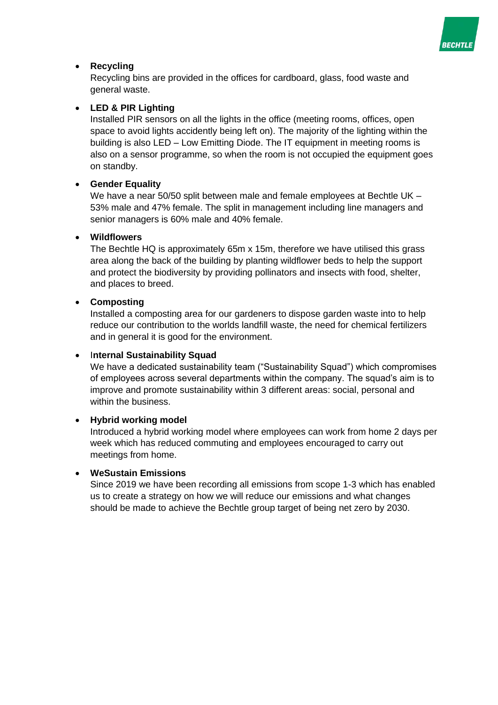

## • **Recycling**

Recycling bins are provided in the offices for cardboard, glass, food waste and general waste.

### • **LED & PIR Lighting**

Installed PIR sensors on all the lights in the office (meeting rooms, offices, open space to avoid lights accidently being left on). The majority of the lighting within the building is also LED – Low Emitting Diode. The IT equipment in meeting rooms is also on a sensor programme, so when the room is not occupied the equipment goes on standby.

#### • **Gender Equality**

We have a near 50/50 split between male and female employees at Bechtle UK – 53% male and 47% female. The split in management including line managers and senior managers is 60% male and 40% female.

#### • **Wildflowers**

The Bechtle HQ is approximately 65m x 15m, therefore we have utilised this grass area along the back of the building by planting wildflower beds to help the support and protect the biodiversity by providing pollinators and insects with food, shelter, and places to breed.

#### • **Composting**

Installed a composting area for our gardeners to dispose garden waste into to help reduce our contribution to the worlds landfill waste, the need for chemical fertilizers and in general it is good for the environment.

#### • I**nternal Sustainability Squad**

We have a dedicated sustainability team ("Sustainability Squad") which compromises of employees across several departments within the company. The squad's aim is to improve and promote sustainability within 3 different areas: social, personal and within the business.

#### • **Hybrid working model**

Introduced a hybrid working model where employees can work from home 2 days per week which has reduced commuting and employees encouraged to carry out meetings from home.

#### • **WeSustain Emissions**

Since 2019 we have been recording all emissions from scope 1-3 which has enabled us to create a strategy on how we will reduce our emissions and what changes should be made to achieve the Bechtle group target of being net zero by 2030.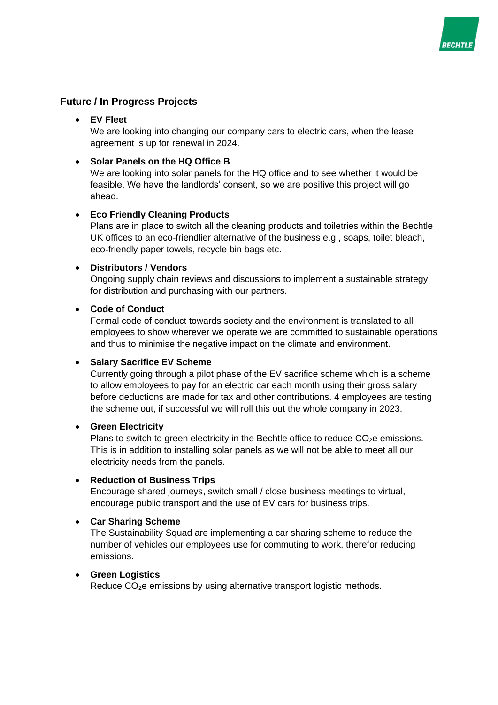

## **Future / In Progress Projects**

#### • **EV Fleet**

We are looking into changing our company cars to electric cars, when the lease agreement is up for renewal in 2024.

#### • **Solar Panels on the HQ Office B**

We are looking into solar panels for the HQ office and to see whether it would be feasible. We have the landlords' consent, so we are positive this project will go ahead.

#### • **Eco Friendly Cleaning Products**

Plans are in place to switch all the cleaning products and toiletries within the Bechtle UK offices to an eco-friendlier alternative of the business e.g., soaps, toilet bleach, eco-friendly paper towels, recycle bin bags etc.

#### • **Distributors / Vendors**

Ongoing supply chain reviews and discussions to implement a sustainable strategy for distribution and purchasing with our partners.

#### • **Code of Conduct**

Formal code of conduct towards society and the environment is translated to all employees to show wherever we operate we are committed to sustainable operations and thus to minimise the negative impact on the climate and environment.

#### • **Salary Sacrifice EV Scheme**

Currently going through a pilot phase of the EV sacrifice scheme which is a scheme to allow employees to pay for an electric car each month using their gross salary before deductions are made for tax and other contributions. 4 employees are testing the scheme out, if successful we will roll this out the whole company in 2023.

#### • **Green Electricity**

Plans to switch to green electricity in the Bechtle office to reduce  $CO<sub>2</sub>e$  emissions. This is in addition to installing solar panels as we will not be able to meet all our electricity needs from the panels.

#### • **Reduction of Business Trips**

Encourage shared journeys, switch small / close business meetings to virtual, encourage public transport and the use of EV cars for business trips.

## • **Car Sharing Scheme**

The Sustainability Squad are implementing a car sharing scheme to reduce the number of vehicles our employees use for commuting to work, therefor reducing emissions.

#### • **Green Logistics**

Reduce CO<sub>2</sub>e emissions by using alternative transport logistic methods.